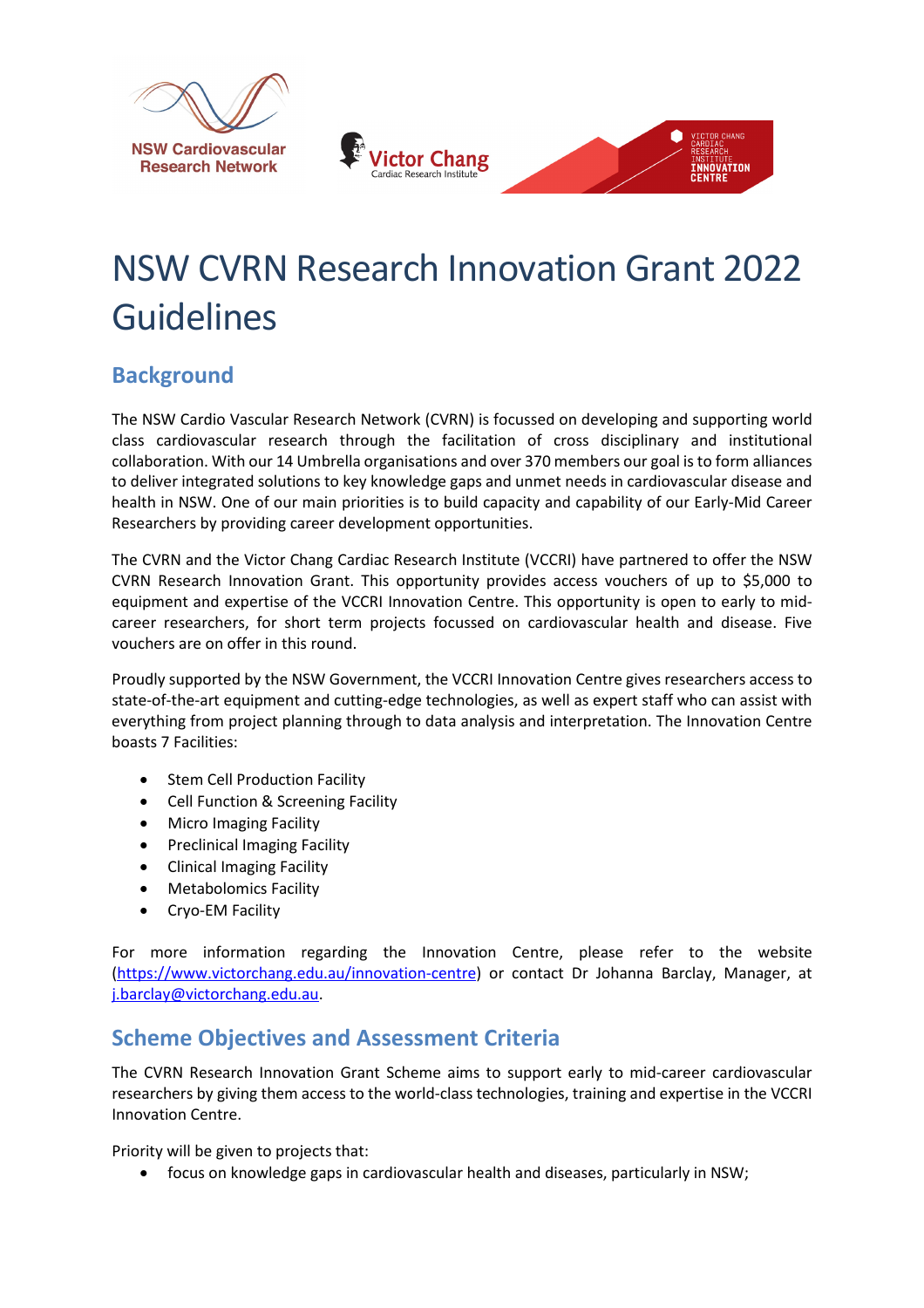





# NSW CVRN Research Innovation Grant 2022 **Guidelines**

## **Background**

The NSW Cardio Vascular Research Network (CVRN) is focussed on developing and supporting world class cardiovascular research through the facilitation of cross disciplinary and institutional collaboration. With our 14 Umbrella organisations and over 370 members our goal is to form alliances to deliver integrated solutions to key knowledge gaps and unmet needs in cardiovascular disease and health in NSW. One of our main priorities is to build capacity and capability of our Early-Mid Career Researchers by providing career development opportunities.

The CVRN and the Victor Chang Cardiac Research Institute (VCCRI) have partnered to offer the NSW CVRN Research Innovation Grant. This opportunity provides access vouchers of up to \$5,000 to equipment and expertise of the VCCRI Innovation Centre. This opportunity is open to early to midcareer researchers, for short term projects focussed on cardiovascular health and disease. Five vouchers are on offer in this round.

Proudly supported by the NSW Government, the VCCRI Innovation Centre gives researchers access to state-of-the-art equipment and cutting-edge technologies, as well as expert staff who can assist with everything from project planning through to data analysis and interpretation. The Innovation Centre boasts 7 Facilities:

- Stem Cell Production Facility
- Cell Function & Screening Facility
- Micro Imaging Facility
- Preclinical Imaging Facility
- Clinical Imaging Facility
- Metabolomics Facility
- Cryo-EM Facility

For more information regarding the Innovation Centre, please refer to the website [\(https://www.victorchang.edu.au/innovation-centre\)](https://www.victorchang.edu.au/innovation-centre) or contact Dr Johanna Barclay, Manager, at [j.barclay@victorchang.edu.au.](mailto:j.barclay@victorchang.edu.au)

## **Scheme Objectives and Assessment Criteria**

The CVRN Research Innovation Grant Scheme aims to support early to mid-career cardiovascular researchers by giving them access to the world-class technologies, training and expertise in the VCCRI Innovation Centre.

Priority will be given to projects that:

• focus on knowledge gaps in cardiovascular health and diseases, particularly in NSW;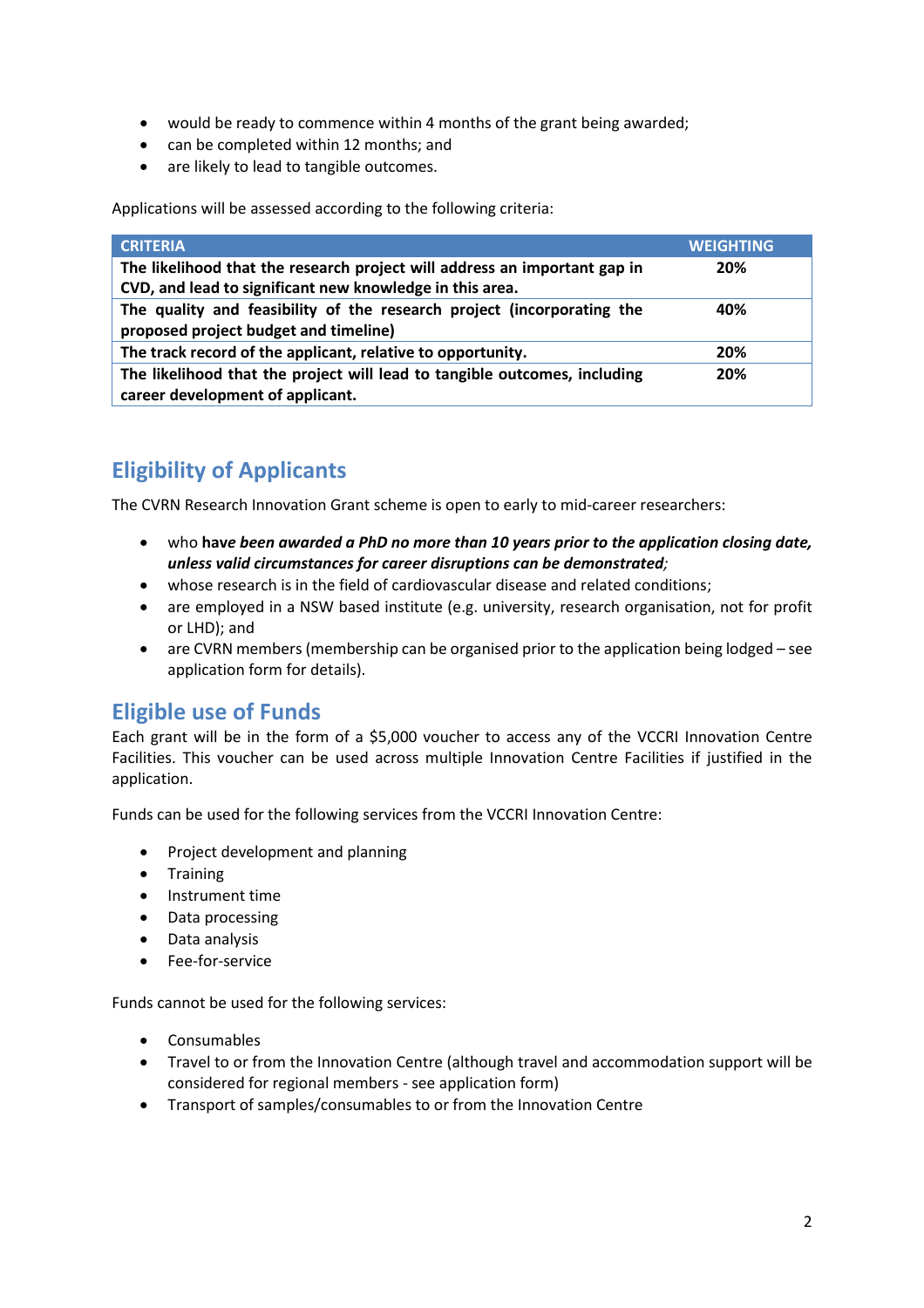- would be ready to commence within 4 months of the grant being awarded;
- can be completed within 12 months; and
- are likely to lead to tangible outcomes.

Applications will be assessed according to the following criteria:

| <b>CRITERIA</b>                                                                                                                       | <b>WEIGHTING</b> |
|---------------------------------------------------------------------------------------------------------------------------------------|------------------|
| The likelihood that the research project will address an important gap in<br>CVD, and lead to significant new knowledge in this area. | 20%              |
| The quality and feasibility of the research project (incorporating the<br>proposed project budget and timeline)                       | 40%              |
| The track record of the applicant, relative to opportunity.                                                                           | 20%              |
| The likelihood that the project will lead to tangible outcomes, including<br>career development of applicant.                         | 20%              |

## **Eligibility of Applicants**

The CVRN Research Innovation Grant scheme is open to early to mid-career researchers:

- who **hav***e been awarded a PhD no more than 10 years prior to the application closing date, unless valid circumstances for career disruptions can be demonstrated;*
- whose research is in the field of cardiovascular disease and related conditions;
- are employed in a NSW based institute (e.g. university, research organisation, not for profit or LHD); and
- are CVRN members (membership can be organised prior to the application being lodged see application form for details).

#### **Eligible use of Funds**

Each grant will be in the form of a \$5,000 voucher to access any of the VCCRI Innovation Centre Facilities. This voucher can be used across multiple Innovation Centre Facilities if justified in the application.

Funds can be used for the following services from the VCCRI Innovation Centre:

- Project development and planning
- Training
- Instrument time
- Data processing
- Data analysis
- Fee-for-service

Funds cannot be used for the following services:

- Consumables
- Travel to or from the Innovation Centre (although travel and accommodation support will be considered for regional members - see application form)
- Transport of samples/consumables to or from the Innovation Centre